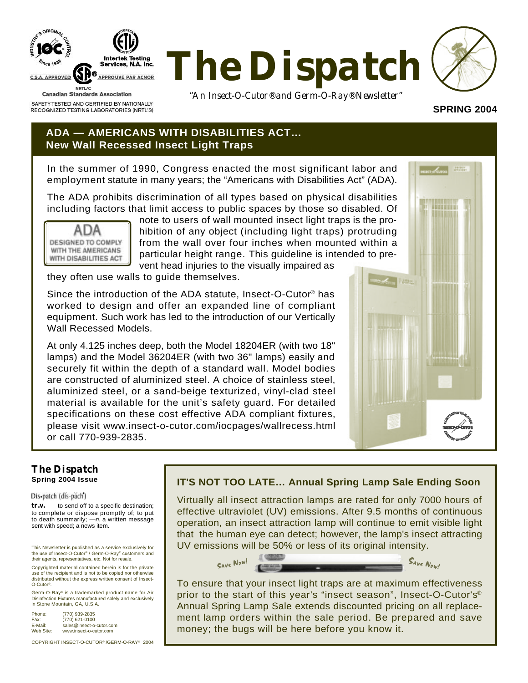

RECOGNIZED TESTING LABORATORIES (NRTL'S)



*"An Insect-O-Cutor® and Germ-O-Ray® Newsletter"*

## **SPRING 2004**

## **ADA — AMERICANS WITH DISABILITIES ACT… New Wall Recessed Insect Light Traps**

In the summer of 1990, Congress enacted the most significant labor and employment statute in many years; the "Americans with Disabilities Act" (ADA).

The ADA prohibits discrimination of all types based on physical disabilities including factors that limit access to public spaces by those so disabled. Of



note to users of wall mounted insect light traps is the prohibition of any object (including light traps) protruding from the wall over four inches when mounted within a particular height range. This guideline is intended to prevent head injuries to the visually impaired as

they often use walls to guide themselves.

Since the introduction of the ADA statute, Insect-O-Cutor® has worked to design and offer an expanded line of compliant equipment. Such work has led to the introduction of our Vertically Wall Recessed Models.

At only 4.125 inches deep, both the Model 18204ER (with two 18" lamps) and the Model 36204ER (with two 36" lamps) easily and securely fit within the depth of a standard wall. Model bodies are constructed of aluminized steel. A choice of stainless steel, aluminized steel, or a sand-beige texturized, vinyl-clad steel material is available for the unit's safety guard. For detailed specifications on these cost effective ADA compliant fixtures, please visit www.insect-o-cutor.com/iocpages/wallrecess.html or call 770-939-2835.



#### *The Dispatch* **Spring 2004 Issue**

#### Dis-patch (dis-pach)

*tr.v.* to send off to a specific destination; to complete or dispose promptly of; to put to death summarily;  $-n$  a written message sent with speed; a news item.

This Newsletter is published as a service exclusively for the use of Insect-O-Cutor® / Germ-O-Ray® customers and their agents, representatives, etc. Not for resale.

Copyrighted material contained herein is for the private use of the recipient and is not to be copied nor otherwise distributed without the express written consent of Insect-O-Cutor®.

Germ-O-Ray® is a trademarked product name for Air Disinfection Fixtures manufactured solely and exclusively in Stone Mountain, GA, U.S.A.

| Phone:    | (770) 939-2835           |
|-----------|--------------------------|
| Fax:      | (770) 621-0100           |
| E-Mail:   | sales@insect-o-cutor.com |
| Web Site: | www.insect-o-cutor.com   |

COPYRIGHT INSECT-O-CUTOR® /GERM-O-RAY® 2004

### **IT'S NOT TOO LATE… Annual Spring Lamp Sale Ending Soon**

Virtually all insect attraction lamps are rated for only 7000 hours of effective ultraviolet (UV) emissions. After 9.5 months of continuous operation, an insect attraction lamp will continue to emit visible light that the human eye can detect; however, the lamp's insect attracting UV emissions will be 50% or less of its original intensity.



To ensure that your insect light traps are at maximum effectiveness prior to the start of this year's "insect season", Insect-O-Cutor's® Annual Spring Lamp Sale extends discounted pricing on all replacement lamp orders within the sale period. Be prepared and save money; the bugs will be here before you know it.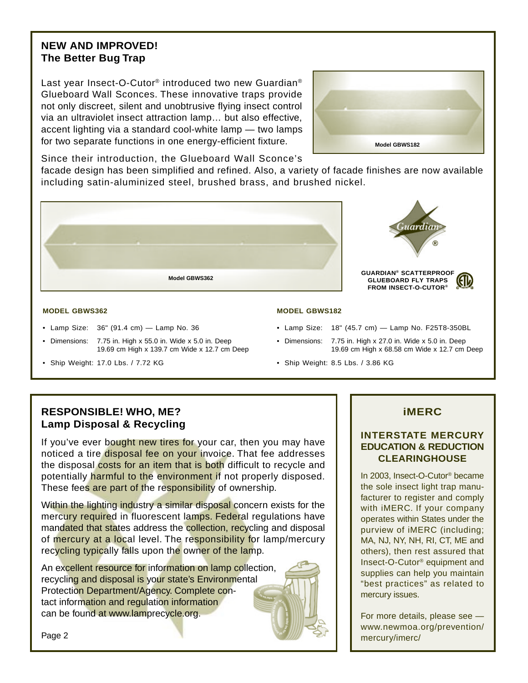# **NEW AND IMPROVED! The Better Bug Trap**

Last year Insect-O-Cutor<sup>®</sup> introduced two new Guardian<sup>®</sup> Glueboard Wall Sconces. These innovative traps provide not only discreet, silent and unobtrusive flying insect control via an ultraviolet insect attraction lamp… but also effective, accent lighting via a standard cool-white lamp — two lamps for two separate functions in one energy-efficient fixture.



Since their introduction, the Glueboard Wall Sconce's

facade design has been simplified and refined. Also, a variety of facade finishes are now available including satin-aluminized steel, brushed brass, and brushed nickel.



#### **MODEL GBWS362**

- Lamp Size: 36" (91.4 cm) Lamp No. 36
- Dimensions: 7.75 in. High x 55.0 in. Wide x 5.0 in. Deep 19.69 cm High x 139.7 cm Wide x 12.7 cm Deep
- Ship Weight: 17.0 Lbs. / 7.72 KG
- **MODEL GBWS182**
- Lamp Size: 18" (45.7 cm) Lamp No. F25T8-350BL
- Dimensions: 7.75 in. High x 27.0 in. Wide x 5.0 in. Deep 19.69 cm High x 68.58 cm Wide x 12.7 cm Deep
- Ship Weight: 8.5 Lbs. / 3.86 KG

# **RESPONSIBLE! WHO, ME? Lamp Disposal & Recycling**

If you've ever bought new tires for your car, then you may have noticed a tire disposal fee on your invoice. That fee addresses the disposal costs for an item that is both difficult to recycle and potentially harmful to the environment if not properly disposed. These fees are part of the responsibility of ownership.

Within the lighting industry a similar disposal concern exists for the mercury required in fluorescent lamps. Federal regulations have mandated that states address the collection, recycling and disposal of mercury at a local level. The responsibility for lamp/mercury recycling typically falls upon the owner of the lamp.

An excellent resource for information on lamp collection, recycling and disposal is your state's Environmental Protection Department/Agency. Complete contact information and regulation information can be found at www.lamprecycle.org.

## **iMERC**

## **INTERSTATE MERCURY EDUCATION & REDUCTION CLEARINGHOUSE**

In 2003, Insect-O-Cutor® became the sole insect light trap manufacturer to register and comply with iMERC. If your company operates within States under the purview of iMERC (including; MA, NJ, NY, NH, RI, CT, ME and others), then rest assured that Insect-O-Cutor® equipment and supplies can help you maintain "best practices" as related to mercury issues.

For more details, please see www.newmoa.org/prevention/ mercury/imerc/

Page 2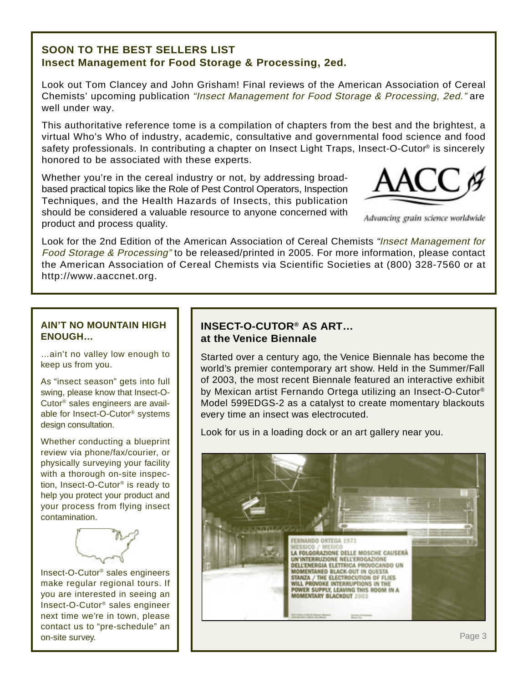## **SOON TO THE BEST SELLERS LIST Insect Management for Food Storage & Processing, 2ed.**

Look out Tom Clancey and John Grisham! Final reviews of the American Association of Cereal Chemists' upcoming publication "Insect Management for Food Storage & Processing, 2ed." are well under way.

This authoritative reference tome is a compilation of chapters from the best and the brightest, a virtual Who's Who of industry, academic, consultative and governmental food science and food safety professionals. In contributing a chapter on Insect Light Traps, Insect-O-Cutor® is sincerely honored to be associated with these experts.

Whether you're in the cereal industry or not, by addressing broadbased practical topics like the Role of Pest Control Operators, Inspection Techniques, and the Health Hazards of Insects, this publication should be considered a valuable resource to anyone concerned with product and process quality.



Advancing grain science worldwide

Look for the 2nd Edition of the American Association of Cereal Chemists "Insect Management for Food Storage & Processing" to be released/printed in 2005. For more information, please contact the American Association of Cereal Chemists via Scientific Societies at (800) 328-7560 or at http://www.aaccnet.org.

## **AIN'T NO MOUNTAIN HIGH ENOUGH…**

…ain't no valley low enough to keep us from you.

As "insect season" gets into full swing, please know that Insect-O-Cutor® sales engineers are available for Insect-O-Cutor® systems design consultation.

Whether conducting a blueprint review via phone/fax/courier, or physically surveying your facility with a thorough on-site inspection, Insect-O-Cutor® is ready to help you protect your product and your process from flying insect contamination.



Insect-O-Cutor® sales engineers make regular regional tours. If you are interested in seeing an Insect-O-Cutor® sales engineer next time we're in town, please contact us to "pre-schedule" an on-site survey.

# **INSECT-O-CUTOR® AS ART… at the Venice Biennale**

Started over a century ago, the Venice Biennale has become the world's premier contemporary art show. Held in the Summer/Fall of 2003, the most recent Biennale featured an interactive exhibit by Mexican artist Fernando Ortega utilizing an Insect-O-Cutor® Model 599EDGS-2 as a catalyst to create momentary blackouts every time an insect was electrocuted.

Look for us in a loading dock or an art gallery near you.